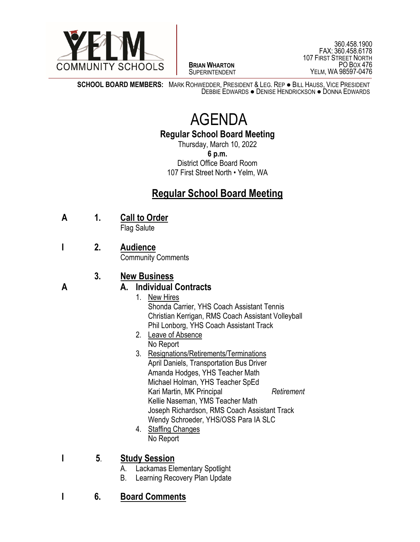

 $\overline{a}$ **BRIAN WHARTON** SUPERINTENDENT

**SCHOOL BOARD MEMBERS:** MARK ROHWEDDER, PRESIDENT & LEG. REP ● BILL HAUSS, VICE PRESIDENT DEBBIE EDWARDS ● DENISE HENDRICKSON ● DONNA EDWARDS

# AGENDA

**Regular School Board Meeting**

Thursday, March 10, 2022 **6 p.m.** District Office Board Room 107 First Street North • Yelm, WA

# **Regular School Board Meeting**

**A 1. Call to Order**

Flag Salute

**I 2. Audience**

Community Comments

## **3. New Business**

### **A A. Individual Contracts**

- 1. New Hires Shonda Carrier, YHS Coach Assistant Tennis Christian Kerrigan, RMS Coach Assistant Volleyball Phil Lonborg, YHS Coach Assistant Track
- 2. Leave of Absence No Report
- 3. Resignations/Retirements/Terminations April Daniels, Transportation Bus Driver Amanda Hodges, YHS Teacher Math Michael Holman, YHS Teacher SpEd Kari Martin, MK Principal *Retirement* Kellie Naseman, YMS Teacher Math Joseph Richardson, RMS Coach Assistant Track Wendy Schroeder, YHS/OSS Para IA SLC
- 4. Staffing Changes No Report
- **I 5**. **Study Session**
	- A. Lackamas Elementary Spotlight
	- B. Learning Recovery Plan Update
- **I 6. Board Comments**